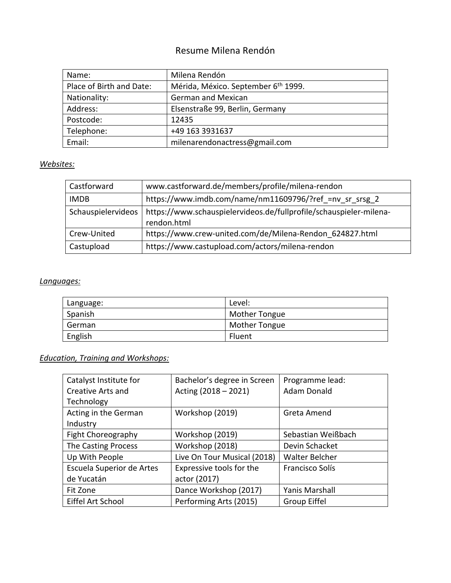# Resume Milena Rendón

| Name:                    | Milena Rendón                                   |
|--------------------------|-------------------------------------------------|
| Place of Birth and Date: | Mérida, México. September 6 <sup>th</sup> 1999. |
| Nationality:             | <b>German and Mexican</b>                       |
| Address:                 | Elsenstraße 99, Berlin, Germany                 |
| Postcode:                | 12435                                           |
| Telephone:               | +49 163 3931637                                 |
| Email:                   | milenarendonactress@gmail.com                   |

### *Websites:*

| Castforward        | www.castforward.de/members/profile/milena-rendon                                  |  |  |
|--------------------|-----------------------------------------------------------------------------------|--|--|
| <b>IMDB</b>        | https://www.imdb.com/name/nm11609796/?ref =nv sr srsg 2                           |  |  |
| Schauspielervideos | https://www.schauspielervideos.de/fullprofile/schauspieler-milena-<br>rendon.html |  |  |
| Crew-United        | https://www.crew-united.com/de/Milena-Rendon 624827.html                          |  |  |
| Castupload         | https://www.castupload.com/actors/milena-rendon                                   |  |  |

### *Languages:*

| Language: | Level:               |
|-----------|----------------------|
| Spanish   | <b>Mother Tongue</b> |
| German    | <b>Mother Tongue</b> |
| English   | Fluent               |

## *Education, Training and Workshops:*

| Catalyst Institute for    | Bachelor's degree in Screen | Programme lead:       |
|---------------------------|-----------------------------|-----------------------|
| <b>Creative Arts and</b>  | Acting (2018 - 2021)        | <b>Adam Donald</b>    |
| Technology                |                             |                       |
| Acting in the German      | Workshop (2019)             | Greta Amend           |
| Industry                  |                             |                       |
| Fight Choreography        | Workshop (2019)             | Sebastian Weißbach    |
| The Casting Process       | Workshop (2018)             | Devin Schacket        |
| Up With People            | Live On Tour Musical (2018) | <b>Walter Belcher</b> |
| Escuela Superior de Artes | Expressive tools for the    | Francisco Solís       |
| de Yucatán                | actor (2017)                |                       |
| Fit Zone                  | Dance Workshop (2017)       | <b>Yanis Marshall</b> |
| Eiffel Art School         | Performing Arts (2015)      | Group Eiffel          |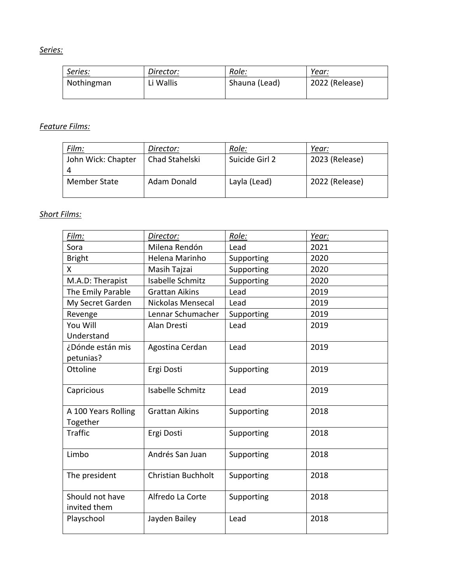### *Series:*

| Series:    | Director: | Role:         | Year:          |
|------------|-----------|---------------|----------------|
| Nothingman | Li Wallis | Shauna (Lead) | 2022 (Release) |

### *Feature Films:*

| Film:               | Director:      | Role:          | Year:          |
|---------------------|----------------|----------------|----------------|
| John Wick: Chapter  | Chad Stahelski | Suicide Girl 2 | 2023 (Release) |
| <b>Member State</b> | Adam Donald    | Layla (Lead)   | 2022 (Release) |

#### *Short Films:*

| Film:                           | Director:                 | Role:      | Year: |
|---------------------------------|---------------------------|------------|-------|
| Sora                            | Milena Rendón             | Lead       | 2021  |
| <b>Bright</b>                   | Helena Marinho            | Supporting | 2020  |
| X.                              | Masih Tajzai              | Supporting | 2020  |
| M.A.D: Therapist                | <b>Isabelle Schmitz</b>   | Supporting | 2020  |
| The Emily Parable               | <b>Grattan Aikins</b>     | Lead       | 2019  |
| My Secret Garden                | Nickolas Mensecal         | Lead       | 2019  |
| Revenge                         | Lennar Schumacher         | Supporting | 2019  |
| You Will                        | Alan Dresti               | Lead       | 2019  |
| Understand                      |                           |            |       |
| ¿Dónde están mis                | Agostina Cerdan           | Lead       | 2019  |
| petunias?                       |                           |            |       |
| Ottoline                        | Ergi Dosti                | Supporting | 2019  |
| Capricious                      | Isabelle Schmitz          | Lead       | 2019  |
| A 100 Years Rolling<br>Together | <b>Grattan Aikins</b>     | Supporting | 2018  |
| <b>Traffic</b>                  | Ergi Dosti                | Supporting | 2018  |
| Limbo                           | Andrés San Juan           | Supporting | 2018  |
| The president                   | <b>Christian Buchholt</b> | Supporting | 2018  |
| Should not have<br>invited them | Alfredo La Corte          | Supporting | 2018  |
| Playschool                      | Jayden Bailey             | Lead       | 2018  |